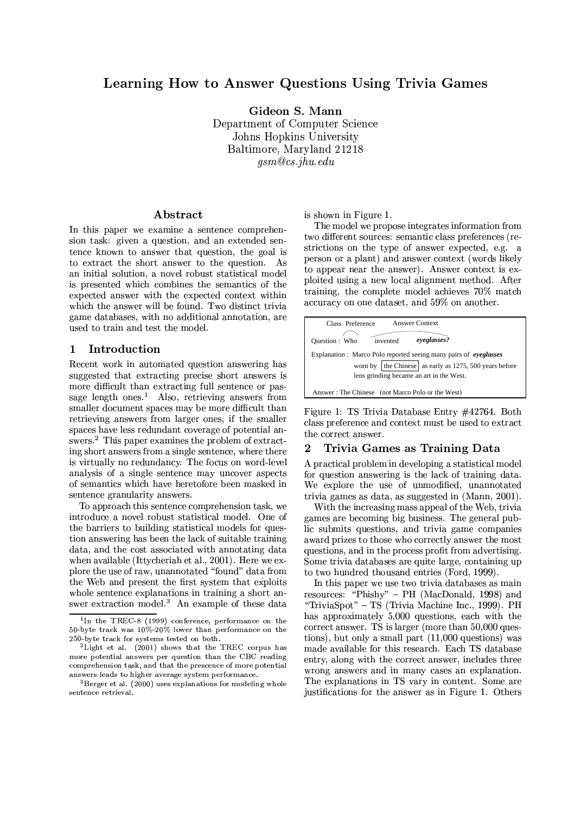# Learning How to Answer Questions Using Trivia Games

Gideon S. Mann Department of Computer Science Johns Hopkins University Baltimore, Maryland 21218  $qsm@cs.jhu.edu$ 

## Abstract

In this paper we examine a sentence comprehension task: given a question, and an extended sentence known to answer that question, the goal is to extract the short answer to the question. As an initial solution, a novel robust statistical model is presented which combines the semantics of the expected answer with the expected context within which the answer will be found. Two distinct trivia game databases, with no additional annotation, are used to train and test the model.

#### $\mathbf{1}$ Introduction

Recent work in automated question answering has suggested that extracting precise short answers is more difficult than extracting full sentence or passage length ones.<sup>1</sup> Also, retrieving answers from smaller document spaces may be more difficult than retrieving answers from larger ones, if the smaller spaces have less redundant coverage of potential answers.<sup>2</sup> This paper examines the problem of extracting short answers from a single sentence, where there is virtually no redundancy. The focus on word-level analysis of a single sentence may uncover aspects of semantics which have heretofore been masked in sentence granularity answers.

To approach this sentence comprehension task, we introduce a novel robust statistical model. One of the barriers to building statistical models for question answering has been the lack of suitable training data, and the cost associated with annotating data when available (Ittycheriah et al., 2001). Here we explore the use of raw, unannotated "found" data from the Web and present the first system that exploits whole sentence explanations in training a short answer extraction model.<sup>3</sup> An example of these data is shown in Figure 1.

The model we propose integrates information from two different sources: semantic class preferences (restrictions on the type of answer expected, e.g. a person or a plant) and answer context (words likely to appear near the answer). Answer context is exploited using a new local alignment method. After training, the complete model achieves 70% match accuracy on one dataset, and 59% on another.



Figure 1: TS Trivia Database Entry #42764. Both class preference and context must be used to extract the correct answer.

#### $\overline{2}$ Trivia Games as Training Data

A practical problem in developing a statistical model for question answering is the lack of training data. We explore the use of unmodified, unannotated trivia games as data, as suggested in (Mann, 2001).

With the increasing mass appeal of the Web, trivia games are becoming big business. The general public submits questions, and trivia game companies award prizes to those who correctly answer the most questions, and in the process profit from advertising. Some trivia databases are quite large, containing up to two hundred thousand entries (Ford, 1999).

In this paper we use two trivia databases as main resources: "Phishy" – PH (MacDonald, 1998) and "TriviaSpot" - TS (Trivia Machine Inc., 1999). PH has approximately 5,000 questions, each with the correct answer. TS is larger (more than 50,000 questions), but only a small part  $(11,000$  questions) was made available for this research. Each TS database entry, along with the correct answer, includes three wrong answers and in many cases an explanation. The explanations in TS vary in content. Some are justifications for the answer as in Figure 1. Others

<sup>&</sup>lt;sup>1</sup>In the TREC-8 (1999) conference, performance on the 50-byte track was  $10\%$ -20% lower than performance on the 250-byte track for systems tested on both.

<sup>&</sup>lt;sup>2</sup>Light et al.  $(2001)$  shows that the TREC corpus has more potential answers per question than the CBC reading comprehension task, and that the prescence of more potential answers leads to higher average system performance.

<sup>&</sup>lt;sup>3</sup>Berger et al.  $(2000)$  uses explanations for modeling whole sentence retrieval.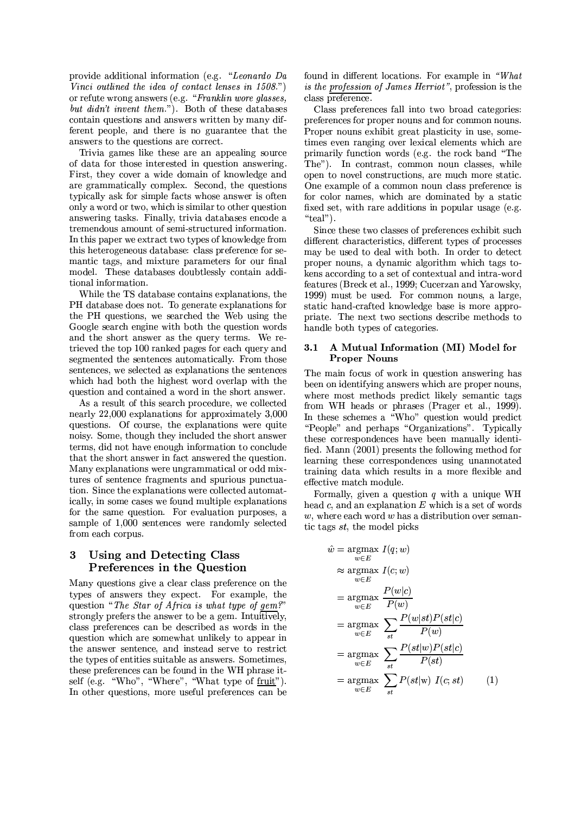provide additional information (e.g. "Leonardo Da Vinci outlined the idea of contact lenses in  $1508$ .") or refute wrong answers (e.g. "Franklin wore glasses, but didn't invent them."). Both of these databases contain questions and answers written by many different people, and there is no guarantee that the answers to the questions are correct.

Trivia games like these are an appealing source of data for those interested in question answering. First, they cover a wide domain of knowledge and are grammatically complex. Second, the questions typically ask for simple facts whose answer is often only a word or two, which is similar to other question answering tasks. Finally, trivia databases encode a tremendous amount of semi-structured information. In this paper we extract two types of knowledge from this heterogeneous database: class preference for semantic tags, and mixture parameters for our final model. These databases doubtlessly contain additional information.

While the TS database contains explanations, the PH database does not. To generate explanations for the PH questions, we searched the Web using the Google search engine with both the question words and the short answer as the query terms. We retrieved the top 100 ranked pages for each query and segmented the sentences automatically. From those sentences, we selected as explanations the sentences which had both the highest word overlap with the question and contained a word in the short answer.

As a result of this search procedure, we collected nearly 22,000 explanations for approximately 3,000 questions. Of course, the explanations were quite noisy. Some, though they included the short answer terms, did not have enough information to conclude that the short answer in fact answered the question. Many explanations were ungrammatical or odd mixtures of sentence fragments and spurious punctuation. Since the explanations were collected automatically, in some cases we found multiple explanations for the same question. For evaluation purposes, a sample of 1,000 sentences were randomly selected from each corpus.

### Using and Detecting Class 3 **Preferences in the Question**

Many questions give a clear class preference on the types of answers they expect. For example, the question "The Star of Africa is what type of gem?" strongly prefers the answer to be a gem. Intuitively, class preferences can be described as words in the question which are somewhat unlikely to appear in the answer sentence, and instead serve to restrict the types of entities suitable as answers. Sometimes, these preferences can be found in the WH phrase itself (e.g. "Who", "Where", "What type of fruit"). In other questions, more useful preferences can be found in different locations. For example in "What is the profession of James Herriot", profession is the class preference.

Class preferences fall into two broad categories: preferences for proper nouns and for common nouns. Proper nouns exhibit great plasticity in use, sometimes even ranging over lexical elements which are primarily function words (e.g. the rock band "The The"). In contrast, common noun classes, while open to novel constructions, are much more static. One example of a common noun class preference is for color names, which are dominated by a static fixed set, with rare additions in popular usage (e.g. "teal").

Since these two classes of preferences exhibit such different characteristics, different types of processes may be used to deal with both. In order to detect proper nouns, a dynamic algorithm which tags tokens according to a set of contextual and intra-word features (Breck et al., 1999; Cucerzan and Yarowsky, 1999) must be used. For common nouns, a large, static hand-crafted knowledge base is more appropriate. The next two sections describe methods to handle both types of categories.

### A Mutual Information (MI) Model for  $3.1$ **Proper Nouns**

The main focus of work in question answering has been on identifying answers which are proper nouns, where most methods predict likely semantic tags from WH heads or phrases (Prager et al., 1999). In these schemes a "Who" question would predict "People" and perhaps "Organizations". Typically these correspondences have been manually identified. Mann (2001) presents the following method for learning these correspondences using unannotated training data which results in a more flexible and effective match module.

Formally, given a question  $q$  with a unique WH head  $c$ , and an explanation  $E$  which is a set of words  $w$ , where each word  $w$  has a distribution over semantic tags st, the model picks

$$
\hat{w} = \underset{w \in E}{\operatorname{argmax}} I(q; w)
$$
\n
$$
\approx \underset{w \in E}{\operatorname{argmax}} I(c; w)
$$
\n
$$
\approx \underset{w \in E}{\operatorname{argmax}} \frac{P(w|c)}{P(w)}
$$
\n
$$
= \underset{w \in E}{\operatorname{argmax}} \sum_{st} \frac{P(w|st)P(st|c)}{P(w)}
$$
\n
$$
= \underset{w \in E}{\operatorname{argmax}} \sum_{st} \frac{P(st|w)P(st|c)}{P(st)}
$$
\n
$$
= \underset{w \in E}{\operatorname{argmax}} \sum_{st} P(st|w) I(c; st) \qquad (1)
$$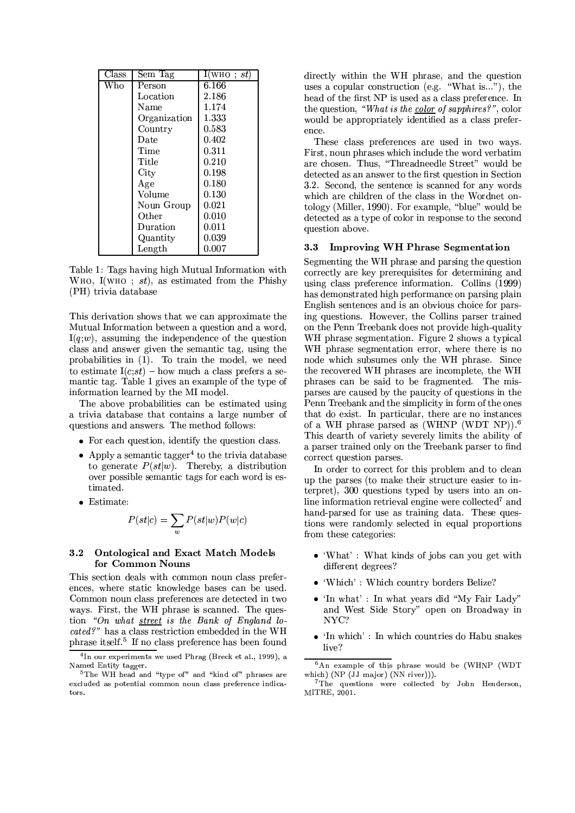| Class | Sem Tag      | $\mathrm{I}(\mathrm{WHO} \; ; \, st)$ |
|-------|--------------|---------------------------------------|
| Who   | Person       | 6.166                                 |
|       | Location     | 2.186                                 |
|       | Name         | 1.174                                 |
|       | Organization | 1.333                                 |
|       | Country      | 0.583                                 |
|       | Date         | 0.402                                 |
|       | Time         | 0.311                                 |
|       | Title        | 0.210                                 |
|       | $\rm City$   | 0.198                                 |
|       | Age          | 0.180                                 |
|       | Volume       | 0.130                                 |
|       | Noun Group   | 0.021                                 |
|       | Other        | 0.010                                 |
|       | Duration     | 0.011                                 |
|       | Quantity     | 0.039                                 |
|       | Length       | 0.007                                 |

Table 1: Tags having high Mutual Information with WHO, I(WHO;  $st$ ), as estimated from the Phishy (PH) trivia database

This derivation shows that we can approximate the Mutual Information between a question and a word,  $I(q; w)$ , assuming the independence of the question class and answer given the semantic tag, using the probabilities in  $(1)$ . To train the model, we need to estimate  $I(c;st)$  – how much a class prefers a semantic tag. Table 1 gives an example of the type of information learned by the MI model.

The above probabilities can be estimated using a trivia database that contains a large number of questions and answers. The method follows:

- For each question, identify the question class.
- Apply a semantic tagger<sup>4</sup> to the trivia database to generate  $P(st|w)$ . Thereby, a distribution over possible semantic tags for each word is estimated.
- $\bullet$  Estimate:

$$
P(st|c) = \sum_w P(st|w)P(w|c)
$$

### **Ontological and Exact Match Models**  $3.2$ for Common Nouns

This section deals with common noun class preferences, where static knowledge bases can be used. Common noun class preferences are detected in two ways. First, the WH phrase is scanned. The question "On what street is the Bank of England located?" has a class restriction embedded in the WH phrase itself.<sup>5</sup> If no class preference has been found

directly within the WH phrase, and the question uses a copular construction (e.g. "What is..."), the head of the first NP is used as a class preference. In the question, "What is the color of sapphires?", color would be appropriately identified as a class preference.

These class preferences are used in two ways. First, noun phrases which include the word verbatim are chosen. Thus, "Threadneedle Street" would be detected as an answer to the first question in Section 3.2. Second, the sentence is scanned for any words which are children of the class in the Wordnet ontology (Miller, 1990). For example, "blue" would be detected as a type of color in response to the second question above.

## 3.3 Improving WH Phrase Segmentation

Segmenting the WH phrase and parsing the question correctly are key prerequisites for determining and using class preference information. Collins (1999) has demonstrated high performance on parsing plain English sentences and is an obvious choice for parsing questions. However, the Collins parser trained on the Penn Treebank does not provide high-quality WH phrase segmentation. Figure 2 shows a typical WH phrase segmentation error, where there is no node which subsumes only the WH phrase. Since the recovered WH phrases are incomplete, the WH phrases can be said to be fragmented. The misparses are caused by the paucity of questions in the Penn Treebank and the simplicity in form of the ones that do exist. In particular, there are no instances of a WH phrase parsed as (WHNP (WDT NP)).<sup>6</sup> This dearth of variety severely limits the ability of a parser trained only on the Treebank parser to find correct question parses.

In order to correct for this problem and to clean up the parses (to make their structure easier to interpret), 300 questions typed by users into an online information retrieval engine were collected<sup>7</sup> and hand-parsed for use as training data. These questions were randomly selected in equal proportions from these categories:

- 'What': What kinds of jobs can you get with different degrees?
- 'Which': Which country borders Belize?
- 'In what': In what years did "My Fair Lady" and West Side Story" open on Broadway in  $NVC$ ?
- $\bullet$  'In which': In which countries do Habu snakes live?

<sup>&</sup>lt;sup>4</sup>In our experiments we used Phrag (Breck et al., 1999), a Named Entity tagger.

<sup>&</sup>lt;sup>5</sup>The WH head and "type of" and "kind of" phrases are excluded as potential common noun class preference indicators.

 $6\text{An}$  example of this phrase would be (WHNP (WDT which)  $(NP (JJ main) (NN river))$ .

<sup>&</sup>lt;sup>7</sup>The questions were collected by John Henderson, MITRE, 2001.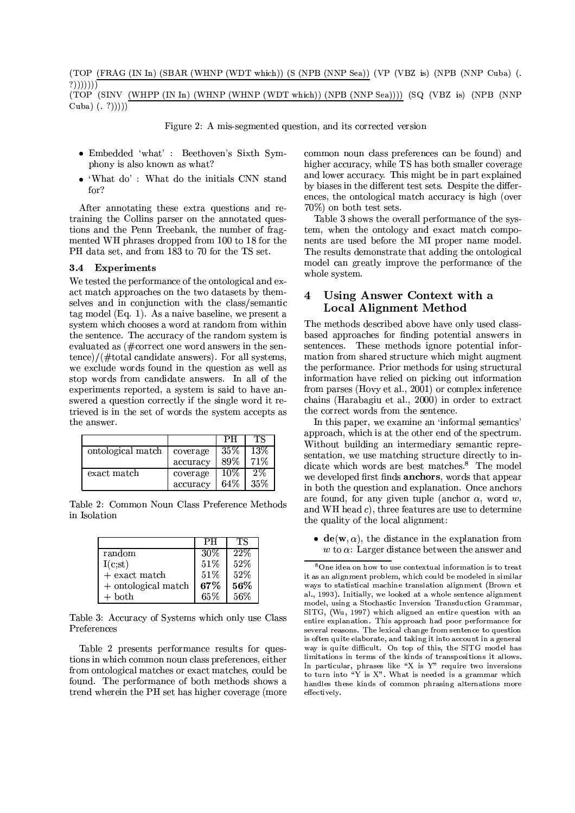(TOP (FRAG (IN In) (SBAR (WHNP (WDT which)) (S (NPB (NNP Sea)) (VP (VBZ is) (NPB (NNP Cuba) (.  $?))))))$ (TOP (SINV (WHPP (IN In) (WHNP (WHNP (WDT which)) (NPB (NNP Sea)))) (SQ (VBZ is) (NPB (NNP Cuba)  $(. ?))))$ 

Figure 2: A mis-segmented question, and its corrected version

- Embedded 'what' : Beethoven's Sixth Symphony is also known as what?
- 'What  $do'$ : What do the initials CNN stand for?

After annotating these extra questions and retraining the Collins parser on the annotated questions and the Penn Treebank, the number of fragmented WH phrases dropped from 100 to 18 for the PH data set, and from 183 to 70 for the TS set.

#### $3.4$ **Experiments**

We tested the performance of the ontological and exact match approaches on the two datasets by themselves and in conjunction with the class/semantic tag model (Eq. 1). As a naive baseline, we present a system which chooses a word at random from within the sentence. The accuracy of the random system is evaluated as  $(\text{\#correct one word answers in the sen-})$  $tence)/($ #total candidate answers). For all systems, we exclude words found in the question as well as stop words from candidate answers. In all of the experiments reported, a system is said to have answered a question correctly if the single word it retrieved is in the set of words the system accepts as the answer.

|                   |          | PН     | ТS     |
|-------------------|----------|--------|--------|
| ontological match | coverage | $35\%$ | $13\%$ |
|                   | accuracy | 89%    | 71%    |
| exact match       | coverage | 10%    | 2%     |
|                   | accuracy | 64%    | 35%    |

Table 2: Common Noun Class Preference Methods in Isolation

|                     | PН     | TS  |
|---------------------|--------|-----|
| random              | $30\%$ | 22% |
| I(c;st)             | 51%    | 52% |
| $+$ exact match     | 51%    | 52% |
| + ontological match | 67%    | 56% |
| -both               | 65%    | 56% |

Table 3: Accuracy of Systems which only use Class Preferences

Table 2 presents performance results for questions in which common noun class preferences, either from ontological matches or exact matches, could be found. The performance of both methods shows a trend wherein the PH set has higher coverage (more

common noun class preferences can be found) and higher accuracy, while TS has both smaller coverage and lower accuracy. This might be in part explained by biases in the different test sets. Despite the differences, the ontological match accuracy is high (over 70%) on both test sets.

Table 3 shows the overall performance of the system, when the ontology and exact match components are used before the MI proper name model. The results demonstrate that adding the ontological model can greatly improve the performance of the whole system.

### Using Answer Context with a  $\overline{\mathbf{4}}$ **Local Alignment Method**

The methods described above have only used classbased approaches for finding potential answers in sentences. These methods ignore potential information from shared structure which might augment the performance. Prior methods for using structural information have relied on picking out information from parses (Hovy et al., 2001) or complex inference chains (Harabagiu et al., 2000) in order to extract the correct words from the sentence.

In this paper, we examine an 'informal semantics' approach, which is at the other end of the spectrum. Without building an intermediary semantic representation, we use matching structure directly to indicate which words are best matches.<sup>8</sup> The model we developed first finds anchors, words that appear in both the question and explanation. Once anchors are found, for any given tuple (anchor  $\alpha$ , word w, and WH head  $c$ ), three features are use to determine the quality of the local alignment:

•  $\mathbf{de}(\mathbf{w}, \alpha)$ , the distance in the explanation from w to  $\alpha$ : Larger distance between the answer and

<sup>&</sup>lt;sup>8</sup>One idea on how to use contextual information is to treat it as an alignment problem, which could be modeled in similar ways to statistical machine translation alignment (Brown et al., 1993). Initially, we looked at a whole sentence alignment model, using a Stochastic Inversion Transduction Grammar, SITG, (Wu, 1997) which aligned an entire question with an entire explanation. This approach had poor performance for several reasons. The lexical change from sentence to question is often quite elaborate, and taking it into account in a general way is quite difficult. On top of this, the SITG model has limitations in terms of the kinds of transpositions it allows.<br>In particular, phrases like "X is  $Y$ " require two inversions to turn into "Y is X". What is needed is a grammar which handles these kinds of common phrasing alternations more effectively.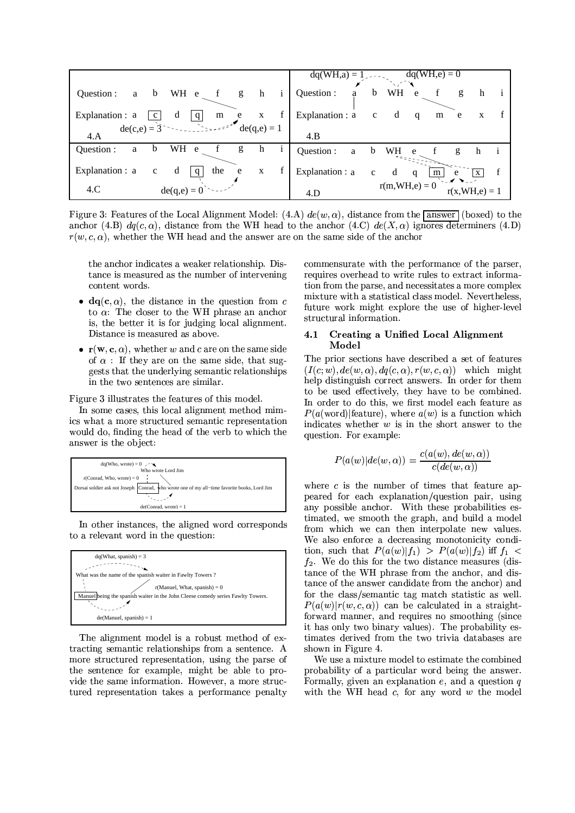|                                                                                                                                                                                                                                                                                                                                                 | $dq(WH, a) = 1$<br>$dq(WH,e) = 0$                                            |
|-------------------------------------------------------------------------------------------------------------------------------------------------------------------------------------------------------------------------------------------------------------------------------------------------------------------------------------------------|------------------------------------------------------------------------------|
| WH e f g<br>h<br>$\mathbf{i}$<br>Question :<br>$\mathbf b$<br>a                                                                                                                                                                                                                                                                                 | Question :<br>WH e<br>b<br>g<br>a<br>h                                       |
| $\mathbf f$<br>d<br>Explanation : a<br>q<br>m e x<br>$\mathbf{c}$                                                                                                                                                                                                                                                                               | Explanation : a c<br>d<br>$\mathbf{q}$<br>m e<br>X                           |
| $ =$ $=$ $\mathbb{E}$ $\mathbb{E}$ $\mathbb{E}$ $\mathbb{E}$ $\mathbb{E}$ $\mathbb{E}$ $\mathbb{E}$ $\mathbb{E}$ $\mathbb{E}$ $\mathbb{E}$ $\mathbb{E}$ $\mathbb{E}$ $\mathbb{E}$ $\mathbb{E}$ $\mathbb{E}$ $\mathbb{E}$ $\mathbb{E}$ $\mathbb{E}$ $\mathbb{E}$ $\mathbb{E}$ $\mathbb{E}$ $\mathbb{E}$ $\mathbb{E}$ $\$<br>de(c,e) = $3$<br>4.A | 4.B                                                                          |
| WH<br>Question :<br>b<br>g<br>e<br>h<br>a                                                                                                                                                                                                                                                                                                       | Question :<br>WH<br>b<br>a<br>g<br>e<br>h                                    |
| Explanation : a<br>the<br>d<br>$\mathbf{q}$<br>e<br>$\mathbf X$<br>$\mathbf c$                                                                                                                                                                                                                                                                  | Explanation : a<br>$\mathbf d$<br>$\mathbf c$<br>m<br>q<br>e<br>$\mathbf{X}$ |
| de(q,e) = $0$ <sup>2</sup><br>4.C                                                                                                                                                                                                                                                                                                               | $r(m, WH, e) = 0$<br>$r(x, WH, e) = 1$<br>4.D                                |

Figure 3: Features of the Local Alignment Model: (4.A)  $de(w, \alpha)$ , distance from the answer (boxed) to the anchor (4.B)  $dq(c, \alpha)$ , distance from the WH head to the anchor (4.C)  $de(X, \alpha)$  ignores determiners (4.D)  $r(w, c, \alpha)$ , whether the WH head and the answer are on the same side of the anchor

the anchor indicates a weaker relationship. Distance is measured as the number of intervening content words.

- $dq(c, \alpha)$ , the distance in the question from c to  $\alpha$ : The closer to the WH phrase an anchor is, the better it is for judging local alignment. Distance is measured as above.
- $\mathbf{r}(\mathbf{w}, \mathbf{c}, \alpha)$ , whether w and c are on the same side of  $\alpha$ : If they are on the same side, that suggests that the underlying semantic relationships in the two sentences are similar.

Figure 3 illustrates the features of this model.

In some cases, this local alignment method mimics what a more structured semantic representation would do, finding the head of the verb to which the answer is the object:



In other instances, the aligned word corresponds to a relevant word in the question:



The alignment model is a robust method of extracting semantic relationships from a sentence. A more structured representation, using the parse of the sentence for example, might be able to provide the same information. However, a more structured representation takes a performance penalty

commensurate with the performance of the parser, requires overhead to write rules to extract information from the parse, and necessitates a more complex mixture with a statistical class model. Nevertheless, future work might explore the use of higher-level structural information.

### **Creating a Unified Local Alignment**  $4.1$ Model

The prior sections have described a set of features  $(I(c; w), de(w, \alpha), dq(c, \alpha), r(w, c, \alpha))$  which might help distinguish correct answers. In order for them to be used effectively, they have to be combined. In order to do this, we first model each feature as  $P(a(\text{word}) | \text{feature})$ , where  $a(w)$  is a function which indicates whether  $w$  is in the short answer to the question. For example:

$$
P(a(w)|de(w, \alpha)) = \frac{c(a(w), de(w, \alpha))}{c(de(w, \alpha))}
$$

where  $c$  is the number of times that feature appeared for each explanation/question pair, using any possible anchor. With these probabilities estimated, we smooth the graph, and build a model from which we can then interpolate new values. We also enforce a decreasing monotonicity condition, such that  $P(a(w)|f_1) > P(a(w)|f_2)$  iff  $f_1$  $f_2$ . We do this for the two distance measures (distance of the WH phrase from the anchor, and distance of the answer candidate from the anchor) and for the class/semantic tag match statistic as well.  $P(a(w)|r(w, c, \alpha))$  can be calculated in a straightforward manner, and requires no smoothing (since it has only two binary values). The probability estimates derived from the two trivia databases are shown in Figure 4.

We use a mixture model to estimate the combined probability of a particular word being the answer. Formally, given an explanation  $e$ , and a question  $q$ with the WH head  $c$ , for any word  $w$  the model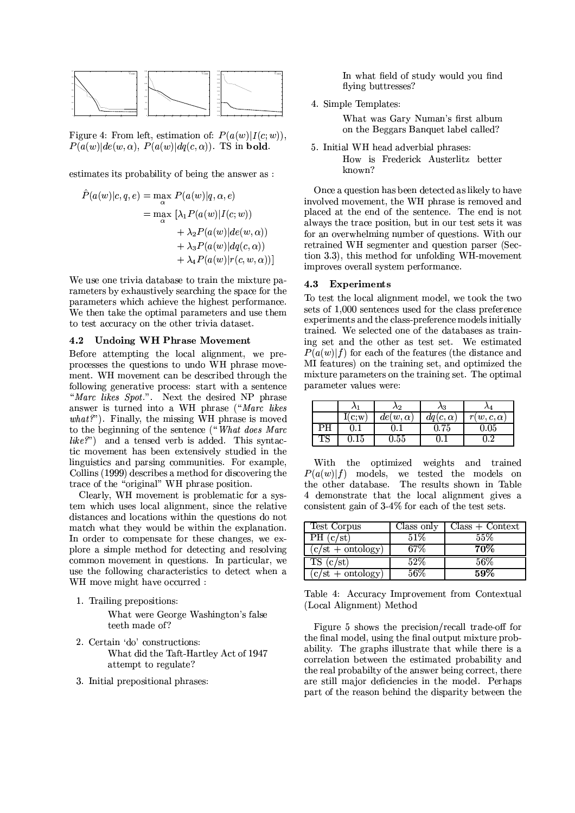

Figure 4: From left, estimation of:  $P(a(w) | I(c; w))$ ,  $P(a(w)|de(w, \alpha), P(a(w)|dq(c, \alpha))$ . TS in bold.

estimates its probability of being the answer as :

$$
\hat{P}(a(w)|c, q, e) = \max_{\alpha} P(a(w)|q, \alpha, e)
$$

$$
= \max_{\alpha} \left[ \lambda_1 P(a(w)|I(c; w)) + \lambda_2 P(a(w)|de(w, \alpha)) + \lambda_3 P(a(w)|dq(c, \alpha)) + \lambda_4 P(a(w)|r(c, w, \alpha)) \right]
$$

We use one trivia database to train the mixture parameters by exhaustively searching the space for the parameters which achieve the highest performance. We then take the optimal parameters and use them to test accuracy on the other trivia dataset.

## 4.2 Undoing WH Phrase Movement

Before attempting the local alignment, we preprocesses the questions to undo WH phrase movement. WH movement can be described through the following generative process: start with a sentence "Marc likes Spot.". Next the desired NP phrase answer is turned into a WH phrase ("Marc likes  $what?$ "). Finally, the missing WH phrase is moved to the beginning of the sentence ("What does Marc  $like?$ ") and a tensed verb is added. This syntactic movement has been extensively studied in the linguistics and parsing communities. For example, Collins (1999) describes a method for discovering the trace of the "original" WH phrase position.

Clearly, WH movement is problematic for a system which uses local alignment, since the relative distances and locations within the questions do not match what they would be within the explanation. In order to compensate for these changes, we explore a simple method for detecting and resolving common movement in questions. In particular, we use the following characteristics to detect when a WH move might have occurred :

1. Trailing prepositions:

What were George Washington's false teeth made of?

- 2. Certain 'do' constructions: What did the Taft-Hartley Act of 1947 attempt to regulate?
- 3. Initial prepositional phrases:

In what field of study would you find flying buttresses?

4. Simple Templates:

What was Gary Numan's first album on the Beggars Banquet label called?

5. Initial WH head adverbial phrases: How is Frederick Austerlitz better known?

Once a question has been detected as likely to have involved movement, the WH phrase is removed and placed at the end of the sentence. The end is not always the trace position, but in our test sets it was for an overwhelming number of questions. With our retrained WH segmenter and question parser (Section 3.3), this method for unfolding WH-movement improves overall system performance.

## 4.3 Experiments

To test the local alignment model, we took the two sets of 1,000 sentences used for the class preference experiments and the class-preference models initially trained. We selected one of the databases as training set and the other as test set. We estimated  $P(a(w) | f)$  for each of the features (the distance and MI features) on the training set, and optimized the mixture parameters on the training set. The optimal parameter values were:

|    |            | Λ2                   | A3              |                   |
|----|------------|----------------------|-----------------|-------------------|
|    | I(c;w)     | $de(w, \alpha)$      | $dq(c, \alpha)$ | $r(w, c, \alpha)$ |
| РH |            |                      | $0.75\,$        | $\rm 0.05$        |
|    | $\rm 0.15$ | $\scriptstyle{0.55}$ |                 |                   |

With the optimized weights and trained  $P(a(w) | f)$  models, we tested the models on the other database. The results shown in Table 4 demonstrate that the local alignment gives a consistent gain of 3-4% for each of the test sets.

| Test Corpus         | Class only | $Class + Context$ |
|---------------------|------------|-------------------|
| PH (c/st)           | 51%        | 55%               |
| $(c/st + ontology)$ |            | 70%               |
| TS (c/st)           | $52\%$     | $56\%$            |
| $(c/st + ontology)$ | 56%        | 59%               |

Table 4: Accuracy Improvement from Contextual (Local Alignment) Method

Figure 5 shows the precision/recall trade-off for the final model, using the final output mixture probability. The graphs illustrate that while there is a correlation between the estimated probability and the real probabilty of the answer being correct, there are still major deficiencies in the model. Perhaps part of the reason behind the disparity between the